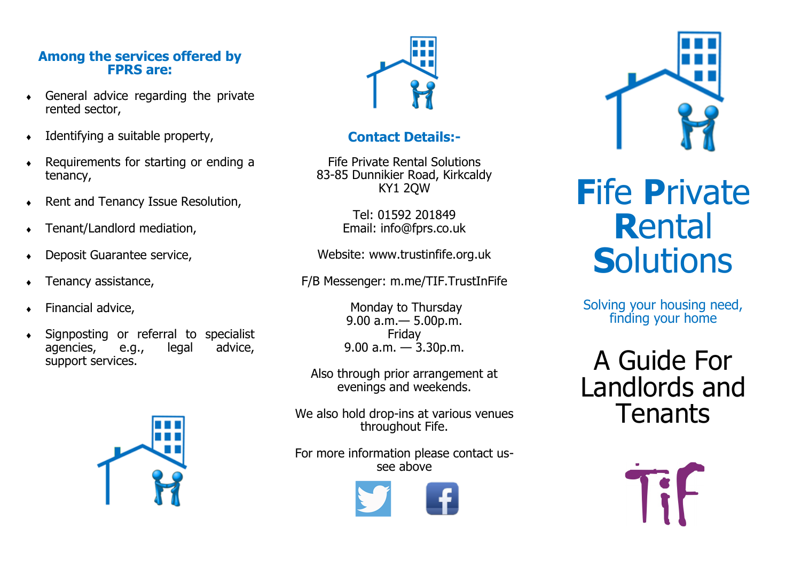# **Among the services offered by FPRS are:**

- General advice regarding the private rented sector,
- $\bullet$  Identifying a suitable property,
- Requirements for starting or ending a tenancy,
- ◆ Rent and Tenancy Issue Resolution,
- Tenant/Landlord mediation,
- Deposit Guarantee service,
- $\leftarrow$  Tenancy assistance,
- ◆ Financial advice,
- Signposting or referral to specialist agencies, e.g., legal advice, support services.





# **Contact Details:-**

Fife Private Rental Solutions 83-85 Dunnikier Road, Kirkcaldy KY1 2QW

> Tel: 01592 201849 Email: info@fprs.co.uk

Website: www.trustinfife.org.uk

F/B Messenger: m.me/TIF.TrustInFife

Monday to Thursday 9.00 a.m.— 5.00p.m. Friday 9.00 a.m.  $-$  3.30p.m.

Also through prior arrangement at evenings and weekends.

We also hold drop-ins at various venues throughout Fife.

For more information please contact ussee above





# **F**ife **P**rivate **R**ental **Solutions**

Solving your housing need, finding your home

A Guide For Landlords and Tenants